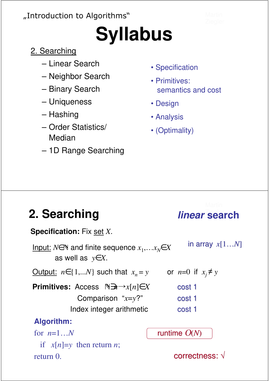### "Introduction to Algorithms"

# **Syllabus**

### 2. Searching

- Linear Search
- Neighbor Search
- Binary Search
- Uniqueness
- Hashing
- Order Statistics/ Median
- 1D Range Searching
- Specification
- Primitives: semantics and cost

**linear**

- Design
- Analysis
- (Optimality)

### **2. Searching**

| <b>Specification:</b> Fix set X.                                                                |                          |
|-------------------------------------------------------------------------------------------------|--------------------------|
| Input: $N \in \mathbb{N}$ and finite sequence $x_1, \ldots x_N \in X$<br>as well as $y \in X$ . | in array $x[1N]$         |
| <u>Output:</u> $n \in \{1,N\}$ such that $x_n = y$                                              | or $n=0$ if $x_i \neq y$ |
| <b>Primitives:</b> Access $\mathbb{N}$ <i>m</i> $\rightarrow$ x[n] $\in$ X                      | cost 1                   |
| Comparison " $x=y$ ?"                                                                           | cost 1                   |
| Index integer arithmetic                                                                        | cost 1                   |
| Algorithm:                                                                                      |                          |
| for $n=1N$                                                                                      | runtime $O(N)$           |
| if $x[n]=y$ then return <i>n</i> ;                                                              |                          |
| return 0.                                                                                       | correctness: √           |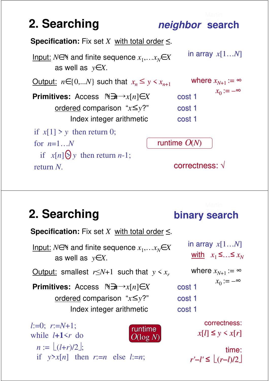

### **2. Searching binary search**

| <b>Specification:</b> Fix set X with total order $\leq$ .                                       |        |
|-------------------------------------------------------------------------------------------------|--------|
| Input: $N \in \mathbb{N}$ and finite sequence $x_1, \ldots x_N \in X$<br>as well as $y \in X$ . |        |
| <u>Output:</u> smallest $r \leq N+1$ such that $y \leq x_r$                                     | wl     |
| <b>Primitives:</b> Access $\mathbb{N}$ <i>m</i> $\rightarrow$ x[n] $\in$ X                      | cost 1 |
| ordered comparison " $x \le y$ ?"                                                               | cost 1 |
| Index integer arithmetic                                                                        | cost 1 |
| $l:=0; r:=N+1;$<br>runtime                                                                      |        |

while  $l+1 \leq r$  do  $n := \lfloor (l+r)/2 \rfloor;$ if  $y > x[n]$  then  $r := n$  else  $l := n$ ; O(log *N*)

in array *x*[1…*N*] <u>with</u>  $x_1$  ≤…≤  $x_N$ 

```
st<sub>1</sub>st 1
where x_{N+1} := \inftyx_0 := -\infty
```
correctness:  $x[l] \leq y \leq x[r]$ 

time: *r'*−*l'* ≤ (*r*−*l*)/2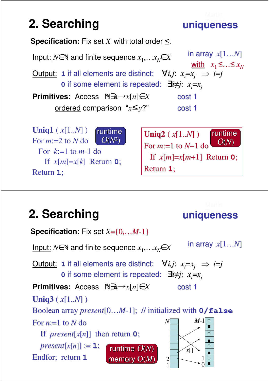# **2. Searching uniqueness**

**Specification:** Fix set *X* with total order ≤.  $I$ <u>nput:</u>  $N ∈ ℕ$  and finite sequence  $x_1, ... x_N ∈ X$ Output: **1** if all elements are distinct:  $\forall i, j: x_j = x_j \implies i = j$ **0** if some element is repeated: ∃*i≠j*: *xi*=*x<sup>j</sup>* **Primitives:** Access ∋*n*→*x*[*n*]∈*X* ordered comparison "*x*≤*y*?" <u>with</u>  $x_1$  ≤…≤  $x_N$ in array *x*[1…*N*] cost 1 cost 1 **Uniq1** ( *x*[1..*N*] ) For *m*:=2 to *N* do **Uniq2** ( *x*[1..*N*] ) runtime  $O(N^2)$ runtime

For  $k=1$  to  $m-1$  do If  $x[m]=x[k]$  Return 0; Return **1**;

For *m*:=1 to *N*−1 do If  $x[m]=x[m+1]$  Return 0; Return **1**;  $O(N)$ 

**uniqueness**

### **2. Searching**

### **Specification:** Fix set *X*={0,…*M*-1}  $I$ <u>nput:</u>  $N ∈ ℕ$  and finite sequence  $x_1, ... x_N ∈ X$ Output: **1** if all elements are distinct:  $\forall i, j: x_i = x_j \implies i = j$ **0** if some element is repeated: ∃*i≠j*: *xi*=*x<sup>j</sup>* **Primitives:** Access ∋*n*→*x*[*n*]∈*X* in array *x*[1…*N*] cost 1 **Uniq3** ( *x*[1..*N*] ) Boolean array *present*[0…*M*-1]; // initialized with **0/false** For  $n=1$  to  $N$  do If *present*[*x*[*n*]] then return **0**;  $present[x[n]] := 1;$ Endfor; return **1** runtime O(*N*) memory O(*M*) 0 *M*-1 1 1 *N* 2  $\chi$ [] ■ □ □ ■ □ ■ □ ■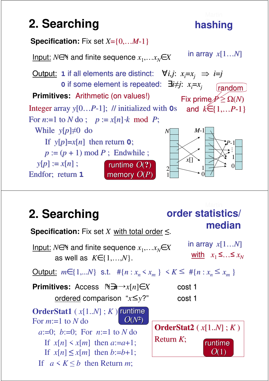### **2. Searching hashing**



### **2. Searching**



**order statistics/** 

hashing